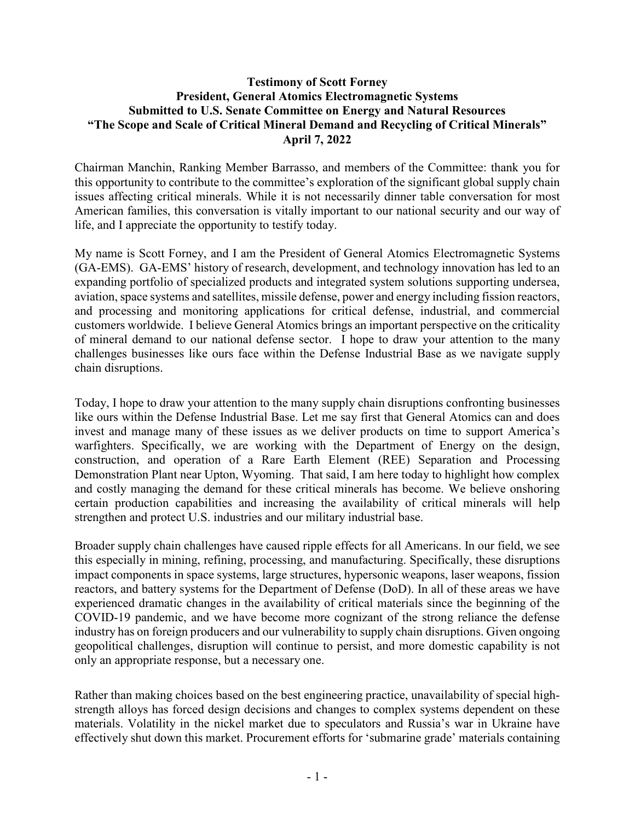## **Testimony of Scott Forney President, General Atomics Electromagnetic Systems Submitted to U.S. Senate Committee on Energy and Natural Resources "The Scope and Scale of Critical Mineral Demand and Recycling of Critical Minerals" April 7, 2022**

Chairman Manchin, Ranking Member Barrasso, and members of the Committee: thank you for this opportunity to contribute to the committee's exploration of the significant global supply chain issues affecting critical minerals. While it is not necessarily dinner table conversation for most American families, this conversation is vitally important to our national security and our way of life, and I appreciate the opportunity to testify today.

My name is Scott Forney, and I am the President of General Atomics Electromagnetic Systems (GA-EMS). GA-EMS' history of research, development, and technology innovation has led to an expanding portfolio of specialized products and integrated system solutions supporting undersea, aviation, space systems and satellites, missile defense, power and energy including fission reactors, and processing and monitoring applications for critical defense, industrial, and commercial customers worldwide. I believe General Atomics brings an important perspective on the criticality of mineral demand to our national defense sector. I hope to draw your attention to the many challenges businesses like ours face within the Defense Industrial Base as we navigate supply chain disruptions.

Today, I hope to draw your attention to the many supply chain disruptions confronting businesses like ours within the Defense Industrial Base. Let me say first that General Atomics can and does invest and manage many of these issues as we deliver products on time to support America's warfighters. Specifically, we are working with the Department of Energy on the design, construction, and operation of a Rare Earth Element (REE) Separation and Processing Demonstration Plant near Upton, Wyoming. That said, I am here today to highlight how complex and costly managing the demand for these critical minerals has become. We believe onshoring certain production capabilities and increasing the availability of critical minerals will help strengthen and protect U.S. industries and our military industrial base.

Broader supply chain challenges have caused ripple effects for all Americans. In our field, we see this especially in mining, refining, processing, and manufacturing. Specifically, these disruptions impact components in space systems, large structures, hypersonic weapons, laser weapons, fission reactors, and battery systems for the Department of Defense (DoD). In all of these areas we have experienced dramatic changes in the availability of critical materials since the beginning of the COVID-19 pandemic, and we have become more cognizant of the strong reliance the defense industry has on foreign producers and our vulnerability to supply chain disruptions. Given ongoing geopolitical challenges, disruption will continue to persist, and more domestic capability is not only an appropriate response, but a necessary one.

Rather than making choices based on the best engineering practice, unavailability of special highstrength alloys has forced design decisions and changes to complex systems dependent on these materials. Volatility in the nickel market due to speculators and Russia's war in Ukraine have effectively shut down this market. Procurement efforts for 'submarine grade' materials containing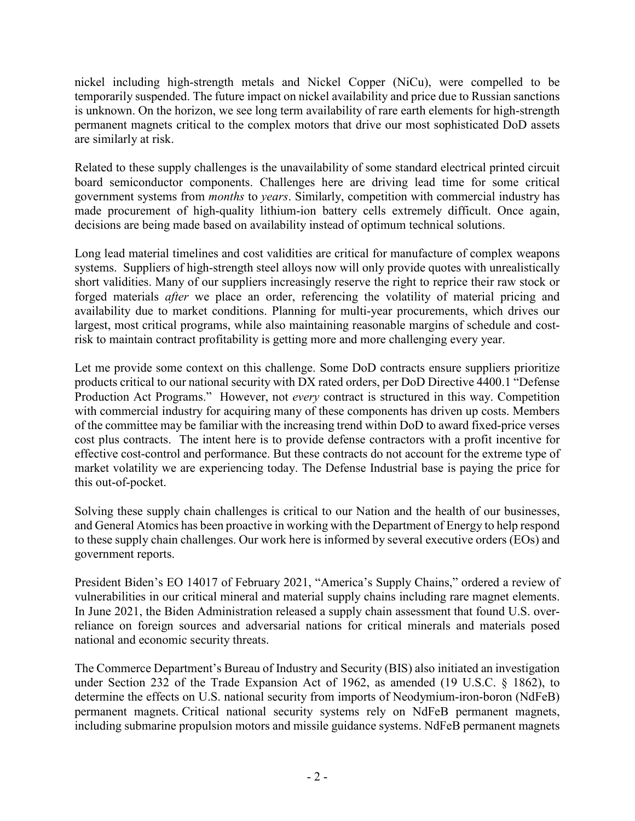nickel including high-strength metals and Nickel Copper (NiCu), were compelled to be temporarily suspended. The future impact on nickel availability and price due to Russian sanctions is unknown. On the horizon, we see long term availability of rare earth elements for high-strength permanent magnets critical to the complex motors that drive our most sophisticated DoD assets are similarly at risk.

Related to these supply challenges is the unavailability of some standard electrical printed circuit board semiconductor components. Challenges here are driving lead time for some critical government systems from *months* to *years*. Similarly, competition with commercial industry has made procurement of high-quality lithium-ion battery cells extremely difficult. Once again, decisions are being made based on availability instead of optimum technical solutions.

Long lead material timelines and cost validities are critical for manufacture of complex weapons systems. Suppliers of high-strength steel alloys now will only provide quotes with unrealistically short validities. Many of our suppliers increasingly reserve the right to reprice their raw stock or forged materials *after* we place an order, referencing the volatility of material pricing and availability due to market conditions. Planning for multi-year procurements, which drives our largest, most critical programs, while also maintaining reasonable margins of schedule and costrisk to maintain contract profitability is getting more and more challenging every year.

Let me provide some context on this challenge. Some DoD contracts ensure suppliers prioritize products critical to our national security with DX rated orders, per DoD Directive 4400.1 "Defense Production Act Programs." However, not *every* contract is structured in this way. Competition with commercial industry for acquiring many of these components has driven up costs. Members of the committee may be familiar with the increasing trend within DoD to award fixed-price verses cost plus contracts. The intent here is to provide defense contractors with a profit incentive for effective cost-control and performance. But these contracts do not account for the extreme type of market volatility we are experiencing today. The Defense Industrial base is paying the price for this out-of-pocket.

Solving these supply chain challenges is critical to our Nation and the health of our businesses, and General Atomics has been proactive in working with the Department of Energy to help respond to these supply chain challenges. Our work here is informed by several executive orders (EOs) and government reports.

President Biden's EO 14017 of February 2021, "America's Supply Chains," ordered a review of vulnerabilities in our critical mineral and material supply chains including rare magnet elements. In June 2021, the Biden Administration released a supply chain assessment that found U.S. overreliance on foreign sources and adversarial nations for critical minerals and materials posed national and economic security threats.

The Commerce Department's Bureau of Industry and Security (BIS) also initiated an investigation under Section 232 of the Trade Expansion Act of 1962, as amended (19 U.S.C. § 1862), to determine the effects on U.S. national security from imports of Neodymium-iron-boron (NdFeB) permanent magnets. Critical national security systems rely on NdFeB permanent magnets, including submarine propulsion motors and missile guidance systems. NdFeB permanent magnets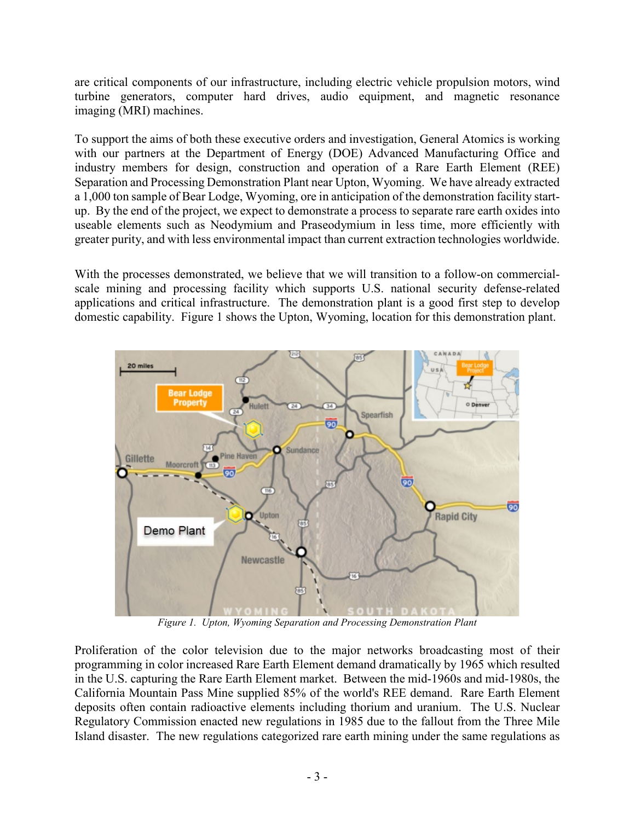are critical components of our infrastructure, including electric vehicle propulsion motors, wind turbine generators, computer hard drives, audio equipment, and magnetic resonance imaging (MRI) machines.

To support the aims of both these executive orders and investigation, General Atomics is working with our partners at the Department of Energy (DOE) Advanced Manufacturing Office and industry members for design, construction and operation of a Rare Earth Element (REE) Separation and Processing Demonstration Plant near Upton, Wyoming. We have already extracted a 1,000 ton sample of Bear Lodge, Wyoming, ore in anticipation of the demonstration facility startup. By the end of the project, we expect to demonstrate a process to separate rare earth oxides into useable elements such as Neodymium and Praseodymium in less time, more efficiently with greater purity, and with less environmental impact than current extraction technologies worldwide.

With the processes demonstrated, we believe that we will transition to a follow-on commercialscale mining and processing facility which supports U.S. national security defense-related applications and critical infrastructure. The demonstration plant is a good first step to develop domestic capability. [Figure](#page-2-0) 1 shows the Upton, Wyoming, location for this demonstration plant.



*Figure 1. Upton, Wyoming Separation and Processing Demonstration Plant*

<span id="page-2-0"></span>Proliferation of the color television due to the major networks broadcasting most of their programming in color increased Rare Earth Element demand dramatically by 1965 which resulted in the U.S. capturing the Rare Earth Element market. Between the mid-1960s and mid-1980s, the California Mountain Pass Mine supplied 85% of the world's REE demand. Rare Earth Element deposits often contain radioactive elements including thorium and uranium. The U.S. Nuclear Regulatory Commission enacted new regulations in 1985 due to the fallout from the Three Mile Island disaster. The new regulations categorized rare earth mining under the same regulations as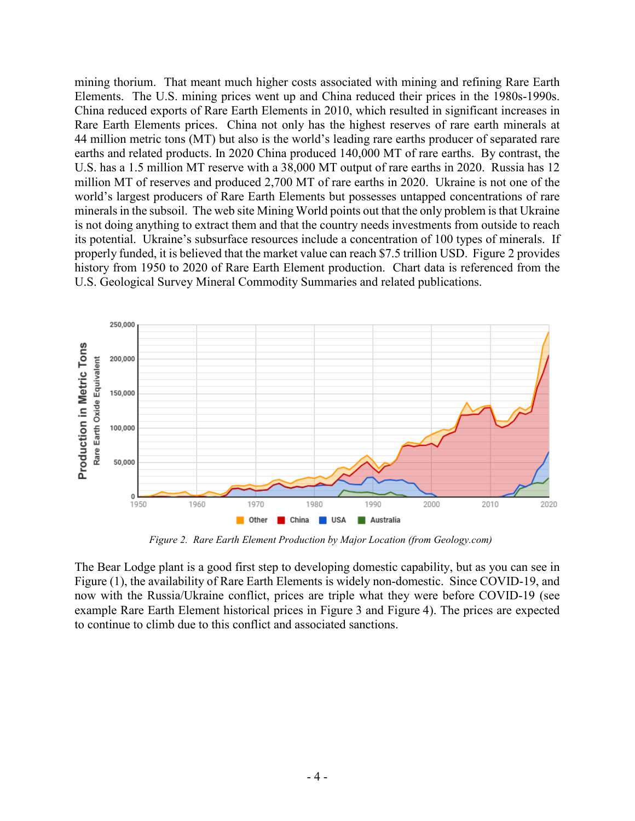mining thorium. That meant much higher costs associated with mining and refining Rare Earth Elements. The U.S. mining prices went up and China reduced their prices in the 1980s-1990s. China reduced exports of Rare Earth Elements in 2010, which resulted in significant increases in Rare Earth Elements prices. China not only has the highest reserves of rare earth minerals at 44 million metric tons (MT) but also is the world's leading rare earths producer of separated rare earths and related products. In 2020 China produced 140,000 MT of rare earths. By contrast, the U.S. has a 1.5 million MT reserve with a 38,000 MT output of rare earths in 2020. Russia has 12 million MT of reserves and produced 2,700 MT of rare earths in 2020. Ukraine is not one of the world's largest producers of Rare Earth Elements but possesses untapped concentrations of rare minerals in the subsoil. The web site Mining World points out that the only problem is that Ukraine is not doing anything to extract them and that the country needs investments from outside to reach its potential. Ukraine's subsurface resources include a concentration of 100 types of minerals. If properly funded, it is believed that the market value can reach \$7.5 trillion USD. Figure 2 provides history from 1950 to 2020 of Rare Earth Element production. Chart data is referenced from the U.S. Geological Survey Mineral Commodity Summaries and related publications.



*Figure 2. Rare Earth Element Production by Major Location (from Geology.com)*

The Bear Lodge plant is a good first step to developing domestic capability, but as you can see in Figure (1), the availability of Rare Earth Elements is widely non-domestic. Since COVID-19, and now with the Russia/Ukraine conflict, prices are triple what they were before COVID-19 (see example Rare Earth Element historical prices in [Figure](#page-4-0) 3 and [Figure](#page-4-1) 4). The prices are expected to continue to climb due to this conflict and associated sanctions.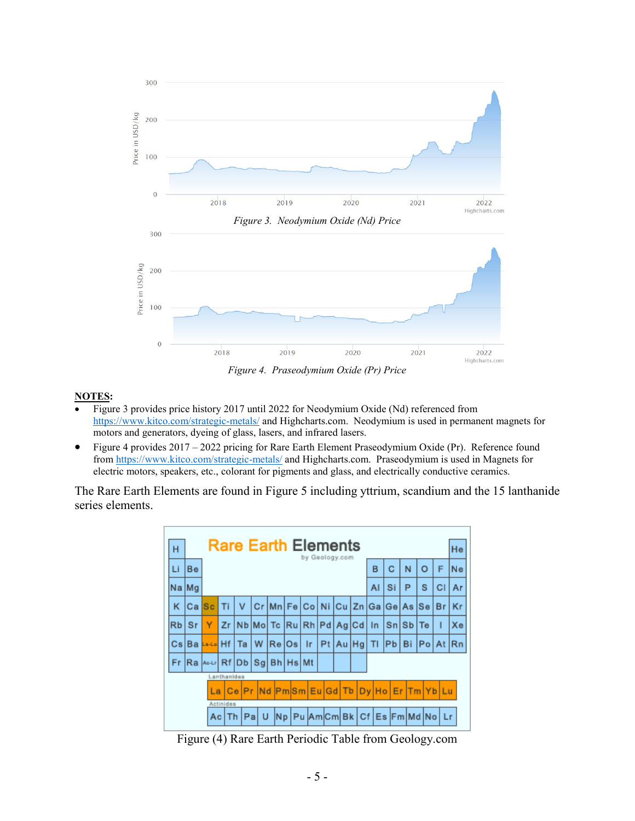<span id="page-4-0"></span>

## <span id="page-4-1"></span>**NOTES:**

- [Figure 3](#page-4-0) provides price history 2017 until 2022 for Neodymium Oxide (Nd) referenced from <https://www.kitco.com/strategic-metals/> and Highcharts.com. Neodymium is used in permanent magnets for motors and generators, dyeing of glass, lasers, and infrared lasers.
- [Figure 4](#page-4-1) provides 2017 2022 pricing for Rare Earth Element Praseodymium Oxide (Pr). Reference found from<https://www.kitco.com/strategic-metals/> and Highcharts.com. Praseodymium is used in Magnets for electric motors, speakers, etc., colorant for pigments and glass, and electrically conductive ceramics.

The Rare Earth Elements are found in Figure 5 including yttrium, scandium and the 15 lanthanide series elements.

| <b>Rare Earth Elements</b><br>н<br>by Geology.com |                  |    |             |                                         |  |        |                               |    |   |   |    |                                                                  |               |    | He       |  |                                                           |  |    |
|---------------------------------------------------|------------------|----|-------------|-----------------------------------------|--|--------|-------------------------------|----|---|---|----|------------------------------------------------------------------|---------------|----|----------|--|-----------------------------------------------------------|--|----|
| Li                                                | Be               |    |             |                                         |  |        | B                             | Ć  | N | о | F  | Ne                                                               |               |    |          |  |                                                           |  |    |
|                                                   | Na Mg            |    |             |                                         |  |        | AI                            | Si | Р | s | СI | Ar                                                               |               |    |          |  |                                                           |  |    |
| κ                                                 | Ca               | Sc |             | v                                       |  |        |                               |    |   |   |    |                                                                  |               |    |          |  | Cr   Mn   Fe   Co   Ni   Cu   Zn   Ga   Ge   As   Se   Br |  | Кr |
|                                                   | RbiSr            | Y  |             |                                         |  |        | Zr Nb Mo Tc Ru Rh Pd Ag Cd In |    |   |   |    |                                                                  |               |    | Sn Sb Te |  |                                                           |  | Хe |
|                                                   | Cs Ba La-La Hf I |    |             | Та                                      |  | IW.    | Re Os                         |    |   |   |    |                                                                  | $lr$ Pt Au Hg | ΤI | Pb Bi    |  | $ Po $ At                                                 |  | Rn |
| Fr.                                               |                  |    |             | Ra   Molder Rf   Db   Sg   Bh   Hs   Mt |  |        |                               |    |   |   |    |                                                                  |               |    |          |  |                                                           |  |    |
|                                                   |                  |    | Lanthanides |                                         |  |        |                               |    |   |   |    |                                                                  |               |    |          |  |                                                           |  |    |
|                                                   |                  |    | La          |                                         |  |        |                               |    |   |   |    | Ce Pr   Nd   Pm  Sm   Eu   Gd   Tb   Dy   Ho   Er   Tm   Yb   Lu |               |    |          |  |                                                           |  |    |
|                                                   |                  |    | Actinides   |                                         |  |        |                               |    |   |   |    |                                                                  |               |    |          |  |                                                           |  |    |
|                                                   |                  |    | AciTh       |                                         |  | IPal U |                               |    |   |   |    |                                                                  |               |    |          |  | Np   Pu   Am   Cm   Bk   Cf   Es   Fm   Md   No   Lr      |  |    |

Figure (4) Rare Earth Periodic Table from Geology.com